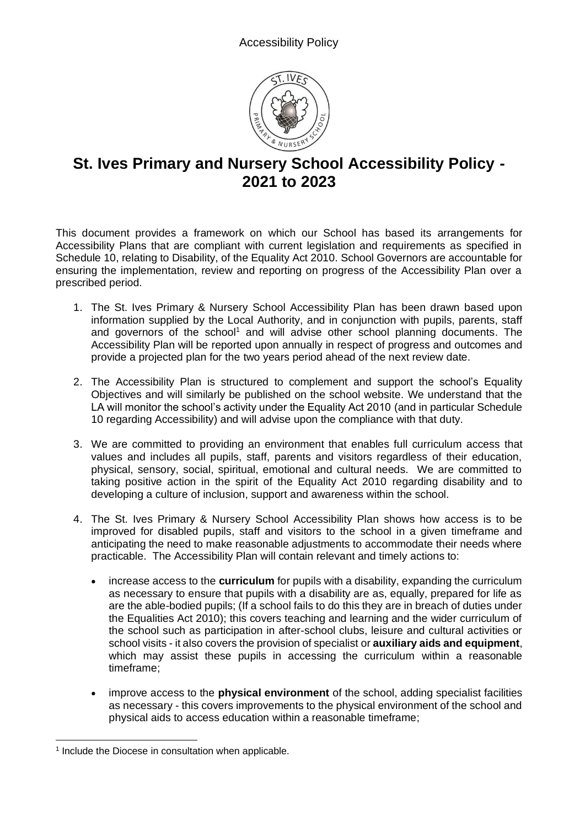

## **St. Ives Primary and Nursery School Accessibility Policy - 2021 to 2023**

This document provides a framework on which our School has based its arrangements for Accessibility Plans that are compliant with current legislation and requirements as specified in Schedule 10, relating to Disability, of the Equality Act 2010. School Governors are accountable for ensuring the implementation, review and reporting on progress of the Accessibility Plan over a prescribed period*.*

- 1. The St. Ives Primary & Nursery School Accessibility Plan has been drawn based upon information supplied by the Local Authority, and in conjunction with pupils, parents, staff and governors of the school<sup>1</sup> and will advise other school planning documents. The Accessibility Plan will be reported upon annually in respect of progress and outcomes and provide a projected plan for the two years period ahead of the next review date.
- 2. The Accessibility Plan is structured to complement and support the school's Equality Objectives and will similarly be published on the school website. We understand that the LA will monitor the school's activity under the Equality Act 2010 (and in particular Schedule 10 regarding Accessibility) and will advise upon the compliance with that duty.
- 3. We are committed to providing an environment that enables full curriculum access that values and includes all pupils, staff, parents and visitors regardless of their education, physical, sensory, social, spiritual, emotional and cultural needs. We are committed to taking positive action in the spirit of the Equality Act 2010 regarding disability and to developing a culture of inclusion, support and awareness within the school.
- 4. The St. Ives Primary & Nursery School Accessibility Plan shows how access is to be improved for disabled pupils, staff and visitors to the school in a given timeframe and anticipating the need to make reasonable adjustments to accommodate their needs where practicable. The Accessibility Plan will contain relevant and timely actions to:
	- increase access to the **curriculum** for pupils with a disability, expanding the curriculum as necessary to ensure that pupils with a disability are as, equally, prepared for life as are the able-bodied pupils; (If a school fails to do this they are in breach of duties under the Equalities Act 2010); this covers teaching and learning and the wider curriculum of the school such as participation in after-school clubs, leisure and cultural activities or school visits - it also covers the provision of specialist or **auxiliary aids and equipment**, which may assist these pupils in accessing the curriculum within a reasonable timeframe;
	- improve access to the **physical environment** of the school, adding specialist facilities as necessary - this covers improvements to the physical environment of the school and physical aids to access education within a reasonable timeframe;

<sup>&</sup>lt;sup>1</sup> Include the Diocese in consultation when applicable.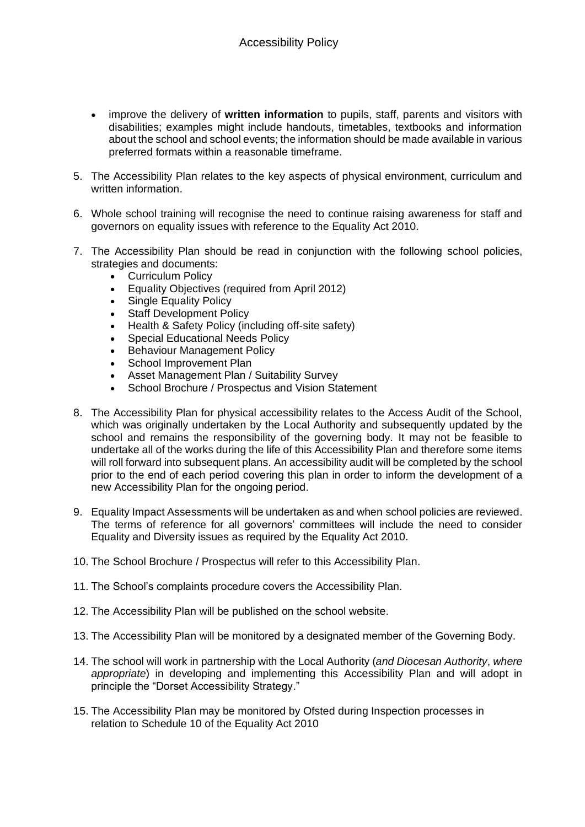- improve the delivery of **written information** to pupils, staff, parents and visitors with disabilities; examples might include handouts, timetables, textbooks and information about the school and school events; the information should be made available in various preferred formats within a reasonable timeframe.
- 5. The Accessibility Plan relates to the key aspects of physical environment, curriculum and written information.
- 6. Whole school training will recognise the need to continue raising awareness for staff and governors on equality issues with reference to the Equality Act 2010.
- 7. The Accessibility Plan should be read in conjunction with the following school policies, strategies and documents:
	- Curriculum Policy
	- Equality Objectives (required from April 2012)
	- Single Equality Policy
	- Staff Development Policy
	- Health & Safety Policy (including off-site safety)
	- Special Educational Needs Policy
	- Behaviour Management Policy
	- School Improvement Plan
	- Asset Management Plan / Suitability Survey
	- School Brochure / Prospectus and Vision Statement
- 8. The Accessibility Plan for physical accessibility relates to the Access Audit of the School, which was originally undertaken by the Local Authority and subsequently updated by the school and remains the responsibility of the governing body. It may not be feasible to undertake all of the works during the life of this Accessibility Plan and therefore some items will roll forward into subsequent plans. An accessibility audit will be completed by the school prior to the end of each period covering this plan in order to inform the development of a new Accessibility Plan for the ongoing period.
- 9. Equality Impact Assessments will be undertaken as and when school policies are reviewed. The terms of reference for all governors' committees will include the need to consider Equality and Diversity issues as required by the Equality Act 2010.
- 10. The School Brochure / Prospectus will refer to this Accessibility Plan.
- 11. The School's complaints procedure covers the Accessibility Plan.
- 12. The Accessibility Plan will be published on the school website.
- 13. The Accessibility Plan will be monitored by a designated member of the Governing Body.
- 14. The school will work in partnership with the Local Authority (*and Diocesan Authority*, *where appropriate*) in developing and implementing this Accessibility Plan and will adopt in principle the "Dorset Accessibility Strategy."
- 15. The Accessibility Plan may be monitored by Ofsted during Inspection processes in relation to Schedule 10 of the Equality Act 2010